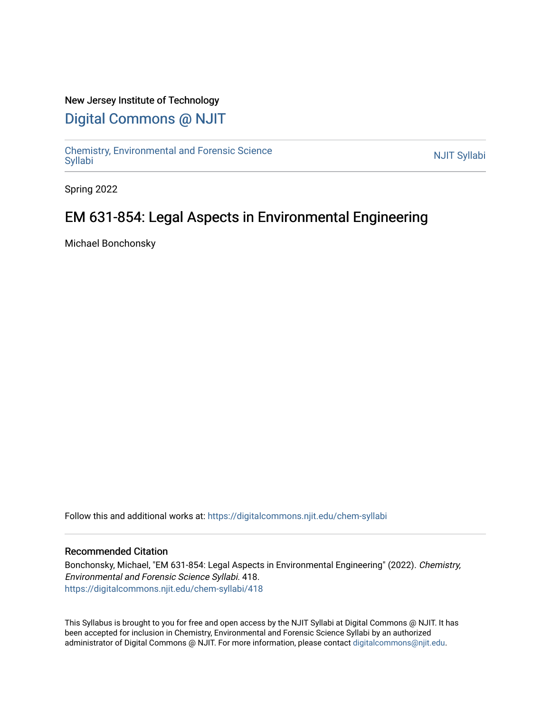## New Jersey Institute of Technology

# [Digital Commons @ NJIT](https://digitalcommons.njit.edu/)

Chemistry, Environmental and Forensic Science<br>Syllabi

Spring 2022

# EM 631-854: Legal Aspects in Environmental Engineering

Michael Bonchonsky

Follow this and additional works at: [https://digitalcommons.njit.edu/chem-syllabi](https://digitalcommons.njit.edu/chem-syllabi?utm_source=digitalcommons.njit.edu%2Fchem-syllabi%2F418&utm_medium=PDF&utm_campaign=PDFCoverPages) 

#### Recommended Citation

Bonchonsky, Michael, "EM 631-854: Legal Aspects in Environmental Engineering" (2022). Chemistry, Environmental and Forensic Science Syllabi. 418. [https://digitalcommons.njit.edu/chem-syllabi/418](https://digitalcommons.njit.edu/chem-syllabi/418?utm_source=digitalcommons.njit.edu%2Fchem-syllabi%2F418&utm_medium=PDF&utm_campaign=PDFCoverPages) 

This Syllabus is brought to you for free and open access by the NJIT Syllabi at Digital Commons @ NJIT. It has been accepted for inclusion in Chemistry, Environmental and Forensic Science Syllabi by an authorized administrator of Digital Commons @ NJIT. For more information, please contact [digitalcommons@njit.edu.](mailto:digitalcommons@njit.edu)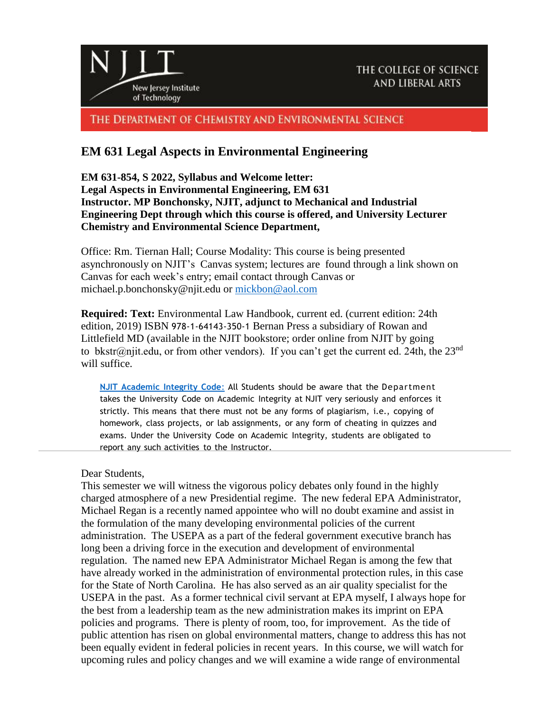

THE DEPARTMENT OF CHEMISTRY AND ENVIRONMENTAL SCIENCE

# **EM 631 Legal Aspects in Environmental Engineering**

**EM 631-854, S 2022, Syllabus and Welcome letter: Legal Aspects in Environmental Engineering, EM 631 Instructor. MP Bonchonsky, NJIT, adjunct to Mechanical and Industrial Engineering Dept through which this course is offered, and University Lecturer Chemistry and Environmental Science Department,**

Office: Rm. Tiernan Hall; Course Modality: This course is being presented asynchronously on NJIT's Canvas system; lectures are found through a link shown on Canvas for each week's entry; email contact through Canvas or michael.p.bonchonsky@njit.edu or [mickbon@aol.com](mailto:mickbon@aol.com)

**Required: Text:** Environmental Law Handbook, current ed. (current edition: 24th edition, 2019) ISBN 978-1-64143-350-1 Bernan Press a subsidiary of Rowan and Littlefield MD (available in the NJIT bookstore; order online from NJIT by going to bkstr@njit.edu, or from other vendors). If you can't get the current ed. 24th, the  $23<sup>nd</sup>$ will suffice.

**NJIT [Academic](https://www.njit.edu/policies/sites/policies/files/academic-integrity-code.pdf) Integrity Code**: All Students should be aware that the Department takes the University Code on Academic Integrity at NJIT very seriously and enforces it strictly. This means that there must not be any forms of plagiarism, i.e., copying of homework, class projects, or lab assignments, or any form of cheating in quizzes and exams. Under the University Code on Academic Integrity, students are obligated to report any such activities to the Instructor.

#### Dear Students

This semester we will witness the vigorous policy debates only found in the highly charged atmosphere of a new Presidential regime. The new federal EPA Administrator, Michael Regan is a recently named appointee who will no doubt examine and assist in the formulation of the many developing environmental policies of the current administration. The USEPA as a part of the federal government executive branch has long been a driving force in the execution and development of environmental regulation. The named new EPA Administrator Michael Regan is among the few that have already worked in the administration of environmental protection rules, in this case for the State of North Carolina. He has also served as an air quality specialist for the USEPA in the past. As a former technical civil servant at EPA myself, I always hope for the best from a leadership team as the new administration makes its imprint on EPA policies and programs. There is plenty of room, too, for improvement. As the tide of public attention has risen on global environmental matters, change to address this has not been equally evident in federal policies in recent years. In this course, we will watch for upcoming rules and policy changes and we will examine a wide range of environmental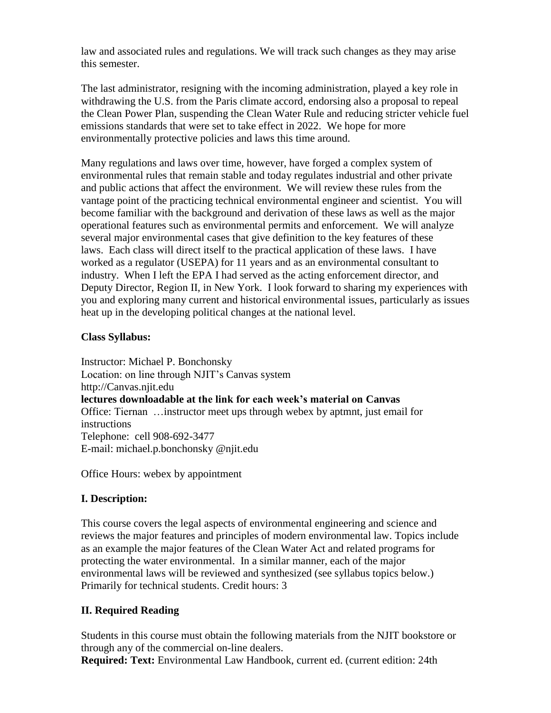law and associated rules and regulations. We will track such changes as they may arise this semester.

The last administrator, resigning with the incoming administration, played a key role in withdrawing the U.S. from the Paris climate accord, endorsing also a proposal to repeal the Clean Power Plan, suspending the Clean Water Rule and reducing stricter vehicle fuel emissions standards that were set to take effect in 2022. We hope for more environmentally protective policies and laws this time around.

Many regulations and laws over time, however, have forged a complex system of environmental rules that remain stable and today regulates industrial and other private and public actions that affect the environment. We will review these rules from the vantage point of the practicing technical environmental engineer and scientist. You will become familiar with the background and derivation of these laws as well as the major operational features such as environmental permits and enforcement. We will analyze several major environmental cases that give definition to the key features of these laws. Each class will direct itself to the practical application of these laws. I have worked as a regulator (USEPA) for 11 years and as an environmental consultant to industry. When I left the EPA I had served as the acting enforcement director, and Deputy Director, Region II, in New York. I look forward to sharing my experiences with you and exploring many current and historical environmental issues, particularly as issues heat up in the developing political changes at the national level.

## **Class Syllabus:**

Instructor: Michael P. Bonchonsky Location: on line through NJIT's Canvas system http://Canvas.njit.edu **lectures downloadable at the link for each week's material on Canvas** Office: Tiernan …instructor meet ups through webex by aptmnt, just email for instructions Telephone: cell 908-692-3477 E-mail: michael.p.bonchonsky @njit.edu

Office Hours: webex by appointment

# **I. Description:**

This course covers the legal aspects of environmental engineering and science and reviews the major features and principles of modern environmental law. Topics include as an example the major features of the Clean Water Act and related programs for protecting the water environmental. In a similar manner, each of the major environmental laws will be reviewed and synthesized (see syllabus topics below.) Primarily for technical students. Credit hours: 3

# **II. Required Reading**

Students in this course must obtain the following materials from the NJIT bookstore or through any of the commercial on-line dealers.

**Required: Text:** Environmental Law Handbook, current ed. (current edition: 24th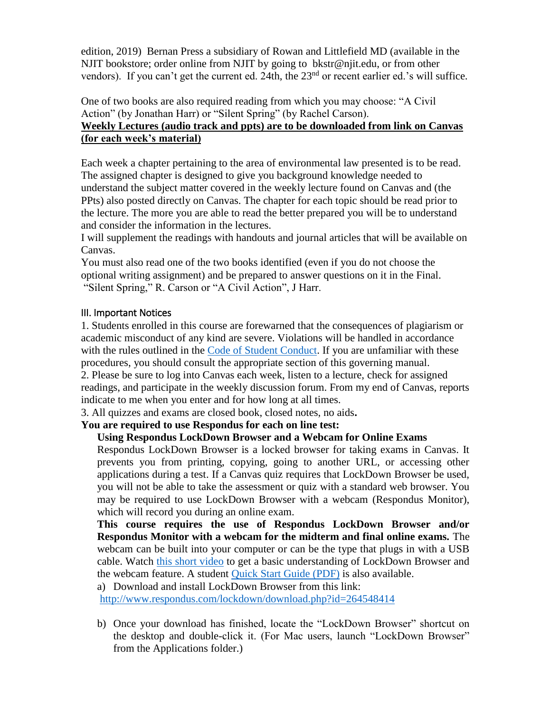edition, 2019) Bernan Press a subsidiary of Rowan and Littlefield MD (available in the NJIT bookstore; order online from NJIT by going to bkstr@njit.edu, or from other vendors). If you can't get the current ed. 24th, the 23<sup>nd</sup> or recent earlier ed.'s will suffice.

One of two books are also required reading from which you may choose: "A Civil Action" (by Jonathan Harr) or "Silent Spring" (by Rachel Carson).

# **Weekly Lectures (audio track and ppts) are to be downloaded from link on Canvas (for each week's material)**

Each week a chapter pertaining to the area of environmental law presented is to be read. The assigned chapter is designed to give you background knowledge needed to understand the subject matter covered in the weekly lecture found on Canvas and (the PPts) also posted directly on Canvas. The chapter for each topic should be read prior to the lecture. The more you are able to read the better prepared you will be to understand and consider the information in the lectures.

I will supplement the readings with handouts and journal articles that will be available on Canvas.

You must also read one of the two books identified (even if you do not choose the optional writing assignment) and be prepared to answer questions on it in the Final. "Silent Spring," R. Carson or "A Civil Action", J Harr.

## III. Important Notices

1. Students enrolled in this course are forewarned that the consequences of plagiarism or academic misconduct of any kind are severe. Violations will be handled in accordance with the rules outlined in the [Code of Student Conduct.](http://www.njit.edu/doss/policies/conductcode/index.php) If you are unfamiliar with these procedures, you should consult the appropriate section of this governing manual. 2. Please be sure to log into Canvas each week, listen to a lecture, check for assigned

readings, and participate in the weekly discussion forum. From my end of Canvas, reports indicate to me when you enter and for how long at all times.

3. All quizzes and exams are closed book, closed notes, no aids**.** 

## **You are required to use Respondus for each on line test:**

## **Using Respondus LockDown Browser and a Webcam for Online Exams**

Respondus LockDown Browser is a locked browser for taking exams in Canvas. It prevents you from printing, copying, going to another URL, or accessing other applications during a test. If a Canvas quiz requires that LockDown Browser be used, you will not be able to take the assessment or quiz with a standard web browser. You may be required to use LockDown Browser with a webcam (Respondus Monitor), which will record you during an online exam.

**This course requires the use of Respondus LockDown Browser and/or Respondus Monitor with a webcam for the midterm and final online exams.** The webcam can be built into your computer or can be the type that plugs in with a USB cable. Watch [this short video](http://www.respondus.com/products/lockdown-browser/student-movie.shtml) to get a basic understanding of LockDown Browser and the webcam feature. A student [Quick Start Guide \(PDF\)](http://www.respondus.com/products/monitor/guides.shtml) is also available.

a) Download and install LockDown Browser from this link:

<http://www.respondus.com/lockdown/download.php?id=264548414>

b) Once your download has finished, locate the "LockDown Browser" shortcut on the desktop and double-click it. (For Mac users, launch "LockDown Browser" from the Applications folder.)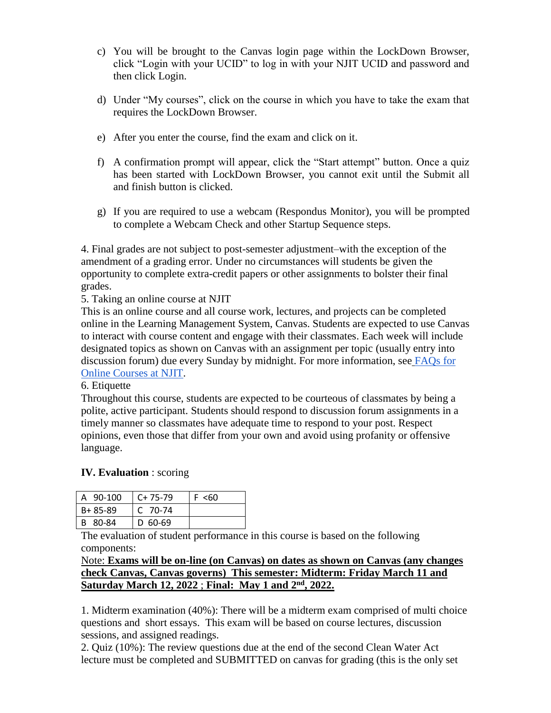- c) You will be brought to the Canvas login page within the LockDown Browser, click "Login with your UCID" to log in with your NJIT UCID and password and then click Login.
- d) Under "My courses", click on the course in which you have to take the exam that requires the LockDown Browser.
- e) After you enter the course, find the exam and click on it.
- f) A confirmation prompt will appear, click the "Start attempt" button. Once a quiz has been started with LockDown Browser, you cannot exit until the Submit all and finish button is clicked.
- g) If you are required to use a webcam (Respondus Monitor), you will be prompted to complete a Webcam Check and other Startup Sequence steps.

4. Final grades are not subject to post-semester adjustment–with the exception of the amendment of a grading error. Under no circumstances will students be given the opportunity to complete extra-credit papers or other assignments to bolster their final grades.

## 5. Taking an online course at NJIT

This is an online course and all course work, lectures, and projects can be completed online in the Learning Management System, Canvas. Students are expected to use Canvas to interact with course content and engage with their classmates. Each week will include designated topics as shown on Canvas with an assignment per topic (usually entry into discussion forum) due every Sunday by midnight. For more information, see [FAQs for](http://www.njit.edu/online/current-students/faq/)  [Online Courses at NJIT.](http://www.njit.edu/online/current-students/faq/)

#### 6. Etiquette

Throughout this course, students are expected to be courteous of classmates by being a polite, active participant. Students should respond to discussion forum assignments in a timely manner so classmates have adequate time to respond to your post. Respect opinions, even those that differ from your own and avoid using profanity or offensive language.

#### **IV. Evaluation** : scoring

| 90-100<br>А   | $C+75-79$ | F <60 |
|---------------|-----------|-------|
| $B + 85 - 89$ | $C$ 70-74 |       |
| -80-84<br>R   | $D$ 60-69 |       |

The evaluation of student performance in this course is based on the following components:

## Note: **Exams will be on-line (on Canvas) on dates as shown on Canvas (any changes check Canvas, Canvas governs) This semester: Midterm: Friday March 11 and Saturday March 12, 2022** ; **Final: May 1 and 2nd, 2022.**

1. Midterm examination (40%): There will be a midterm exam comprised of multi choice questions and short essays. This exam will be based on course lectures, discussion sessions, and assigned readings.

2. Quiz (10%): The review questions due at the end of the second Clean Water Act lecture must be completed and SUBMITTED on canvas for grading (this is the only set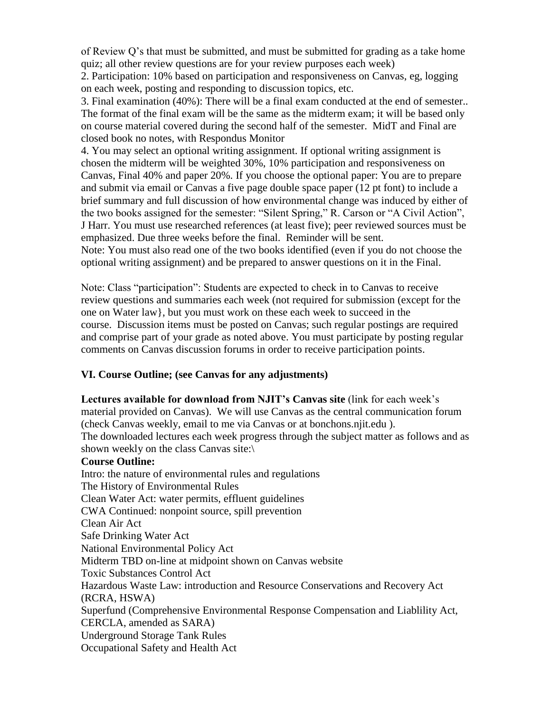of Review Q's that must be submitted, and must be submitted for grading as a take home quiz; all other review questions are for your review purposes each week)

2. Participation: 10% based on participation and responsiveness on Canvas, eg, logging on each week, posting and responding to discussion topics, etc.

3. Final examination (40%): There will be a final exam conducted at the end of semester.. The format of the final exam will be the same as the midterm exam; it will be based only on course material covered during the second half of the semester. MidT and Final are closed book no notes, with Respondus Monitor

4. You may select an optional writing assignment. If optional writing assignment is chosen the midterm will be weighted 30%, 10% participation and responsiveness on Canvas, Final 40% and paper 20%. If you choose the optional paper: You are to prepare and submit via email or Canvas a five page double space paper (12 pt font) to include a brief summary and full discussion of how environmental change was induced by either of the two books assigned for the semester: "Silent Spring," R. Carson or "A Civil Action", J Harr. You must use researched references (at least five); peer reviewed sources must be emphasized. Due three weeks before the final. Reminder will be sent.

Note: You must also read one of the two books identified (even if you do not choose the optional writing assignment) and be prepared to answer questions on it in the Final.

Note: Class "participation": Students are expected to check in to Canvas to receive review questions and summaries each week (not required for submission (except for the one on Water law}, but you must work on these each week to succeed in the course. Discussion items must be posted on Canvas; such regular postings are required and comprise part of your grade as noted above. You must participate by posting regular comments on Canvas discussion forums in order to receive participation points.

## **VI. Course Outline; (see Canvas for any adjustments)**

**Lectures available for download from NJIT's Canvas site** (link for each week's material provided on Canvas). We will use Canvas as the central communication forum (check Canvas weekly, email to me via Canvas or at bonchons.njit.edu ).

The downloaded lectures each week progress through the subject matter as follows and as shown weekly on the class Canvas site:\

#### **Course Outline:**

Intro: the nature of environmental rules and regulations The History of Environmental Rules Clean Water Act: water permits, effluent guidelines CWA Continued: nonpoint source, spill prevention Clean Air Act Safe Drinking Water Act National Environmental Policy Act Midterm TBD on-line at midpoint shown on Canvas website Toxic Substances Control Act Hazardous Waste Law: introduction and Resource Conservations and Recovery Act (RCRA, HSWA) Superfund (Comprehensive Environmental Response Compensation and Liablility Act, CERCLA, amended as SARA) Underground Storage Tank Rules Occupational Safety and Health Act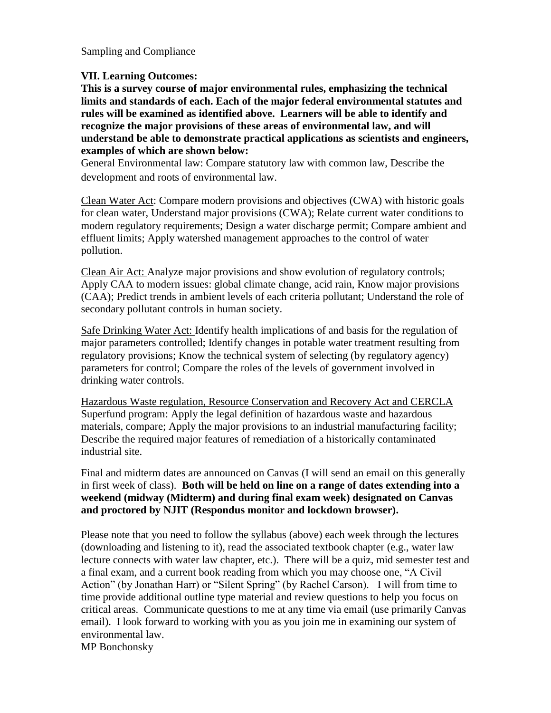Sampling and Compliance

#### **VII. Learning Outcomes:**

**This is a survey course of major environmental rules, emphasizing the technical limits and standards of each. Each of the major federal environmental statutes and rules will be examined as identified above. Learners will be able to identify and recognize the major provisions of these areas of environmental law, and will understand be able to demonstrate practical applications as scientists and engineers, examples of which are shown below:** 

General Environmental law: Compare statutory law with common law, Describe the development and roots of environmental law.

Clean Water Act: Compare modern provisions and objectives (CWA) with historic goals for clean water, Understand major provisions (CWA); Relate current water conditions to modern regulatory requirements; Design a water discharge permit; Compare ambient and effluent limits; Apply watershed management approaches to the control of water pollution.

Clean Air Act: Analyze major provisions and show evolution of regulatory controls; Apply CAA to modern issues: global climate change, acid rain, Know major provisions (CAA); Predict trends in ambient levels of each criteria pollutant; Understand the role of secondary pollutant controls in human society.

Safe Drinking Water Act: Identify health implications of and basis for the regulation of major parameters controlled; Identify changes in potable water treatment resulting from regulatory provisions; Know the technical system of selecting (by regulatory agency) parameters for control; Compare the roles of the levels of government involved in drinking water controls.

Hazardous Waste regulation, Resource Conservation and Recovery Act and CERCLA Superfund program: Apply the legal definition of hazardous waste and hazardous materials, compare; Apply the major provisions to an industrial manufacturing facility; Describe the required major features of remediation of a historically contaminated industrial site.

Final and midterm dates are announced on Canvas (I will send an email on this generally in first week of class). **Both will be held on line on a range of dates extending into a weekend (midway (Midterm) and during final exam week) designated on Canvas and proctored by NJIT (Respondus monitor and lockdown browser).**

Please note that you need to follow the syllabus (above) each week through the lectures (downloading and listening to it), read the associated textbook chapter (e.g., water law lecture connects with water law chapter, etc.). There will be a quiz, mid semester test and a final exam, and a current book reading from which you may choose one, "A Civil Action" (by Jonathan Harr) or "Silent Spring" (by Rachel Carson). I will from time to time provide additional outline type material and review questions to help you focus on critical areas. Communicate questions to me at any time via email (use primarily Canvas email). I look forward to working with you as you join me in examining our system of environmental law.

MP Bonchonsky